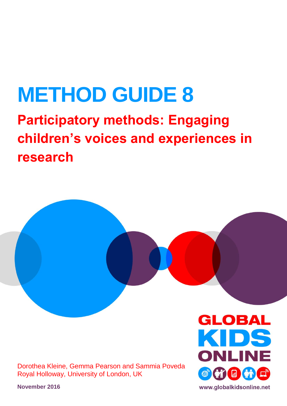# **METHOD GUIDE 8**

## **Participatory methods: Engaging children's voices and experiences in research**

Dorothea Kleine, Gemma Pearson and Sammia Poveda Royal Holloway, University of London, UK

CLOBAL 剾 www.globalkidsonline.net

**November 2016**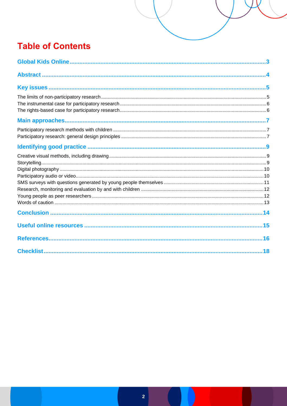### **Table of Contents**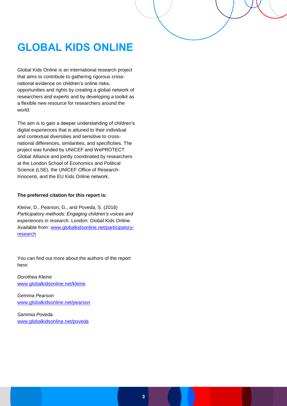## <span id="page-2-0"></span>**GLOBAL KIDS ONLINE**

Global Kids Online is an international research project that aims to contribute to gathering rigorous crossnational evidence on children's online risks, opportunities and rights by creating a global network of researchers and experts and by developing a toolkit as a flexible new resource for researchers around the world.

The aim is to gain a deeper understanding of children's digital experiences that is attuned to their individual and contextual diversities and sensitive to crossnational differences, similarities, and specificities. The project was funded by UNICEF and WePROTECT Global Alliance and jointly coordinated by researchers at the London School of Economics and Political Science (LSE), the UNICEF Office of Research-Innocenti, and the EU Kids Online network.

#### **The preferred citation for this report is:**

Kleine, D., Pearson, G., and Poveda, S. (2016) *Participatory methods: Engaging children's voices and experiences in research*. London: Global Kids Online. Available from: [www.globalkidsonline.net/participatory](http://www.globalkidsonline.net/participatory-research)**[research](http://www.globalkidsonline.net/participatory-research)** 

You can find out more about the authors of the report here:

*Dorothea Kleine* [www.globalkidsonline.net/kleine](http://www.globalkidsonline.net/kleine)

*Gemma Pearson* [www.globalkidsonline.net/pearson](http://www.globalkidsonline.net/pearson)

*Sammia Poveda*  [www.globalkidsonline.net/poveda](http://www.globalkidsonline.net/poveda)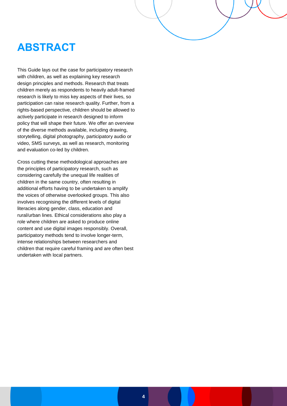## <span id="page-3-0"></span>**ABSTRACT**

This Guide lays out the case for participatory research with children, as well as explaining key research design principles and methods. Research that treats children merely as respondents to heavily adult-framed research is likely to miss key aspects of their lives, so participation can raise research quality. Further, from a rights-based perspective, children should be allowed to actively participate in research designed to inform policy that will shape their future. We offer an overview of the diverse methods available, including drawing, storytelling, digital photography, participatory audio or video, SMS surveys, as well as research, monitoring and evaluation co-led by children.

Cross cutting these methodological approaches are the principles of participatory research, such as considering carefully the unequal life realities of children in the same country, often resulting in additional efforts having to be undertaken to amplify the voices of otherwise overlooked groups. This also involves recognising the different levels of digital literacies along gender, class, education and rural/urban lines. Ethical considerations also play a role where children are asked to produce online content and use digital images responsibly. Overall, participatory methods tend to involve longer-term, intense relationships between researchers and children that require careful framing and are often best undertaken with local partners.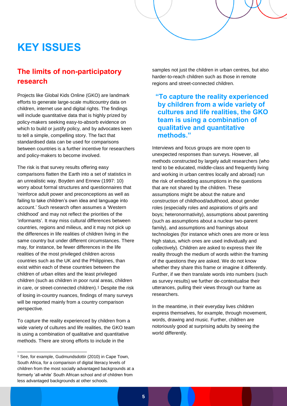## <span id="page-4-0"></span>**KEY ISSUES**

#### <span id="page-4-1"></span>**The limits of non-participatory research**

Projects like Global Kids Online (GKO) are landmark efforts to generate large-scale multicountry data on children, internet use and digital rights. The findings will include quantitative data that is highly prized by policy-makers seeking easy-to-absorb evidence on which to build or justify policy, and by advocates keen to tell a simple, compelling story. The fact that standardised data can be used for comparisons between countries is a further incentive for researchers and policy-makers to become involved.

The risk is that survey results offering easy comparisons flatten the Earth into a set of statistics in an unrealistic way. Boyden and Ennew (1997: 10) worry about formal structures and questionnaires that 'reinforce adult power and preconceptions as well as failing to take children's own idea and language into account.' Such research often assumes a 'Western childhood' and may not reflect the priorities of the 'informants'. It may miss cultural differences between countries, regions and milieus, and it may not pick up the differences in life realities of children living in the same country but under different circumstances. There may, for instance, be fewer differences in the life realities of the most privileged children across countries such as the UK and the Philippines, than exist within each of these countries between the children of urban elites and the least privileged children (such as children in poor rural areas, children in care, or street-connected children).1 Despite the risk of losing in-country nuances, findings of many surveys will be reported mainly from a country comparison perspective.

To capture the reality experienced by children from a wide variety of cultures and life realities, the GKO team is using a combination of qualitative and quantitative methods. There are strong efforts to include in the

l

samples not just the children in urban centres, but also harder-to-reach children such as those in remote regions and street-connected children.

#### **"To capture the reality experienced by children from a wide variety of cultures and life realities, the GKO team is using a combination of qualitative and quantitative methods."**

Interviews and focus groups are more open to unexpected responses than surveys. However, all methods constructed by largely adult researchers (who tend to be educated, middle-class and frequently living and working in urban centres locally and abroad) run the risk of embedding assumptions in the questions that are not shared by the children. These assumptions might be about the nature and construction of childhood/adulthood, about gender roles (especially roles and aspirations of girls and boys; heteronormativity), assumptions about parenting (such as assumptions about a nuclear two-parent family), and assumptions and framings about technologies (for instance which ones are more or less high status, which ones are used individually and collectively). Children are asked to express their life reality through the medium of words within the framing of the questions they are asked. We do not know whether they share this frame or imagine it differently. Further, if we then translate words into numbers (such as survey results) we further de-contextualise their utterances, pulling their views through our frame as researchers.

In the meantime, in their everyday lives children express themselves, for example, through movement, words, drawing and music. Further, children are notoriously good at surprising adults by seeing the world differently.

<sup>1</sup> See, for example, Gudmundsdottir (2010) in Cape Town, South Africa, for a comparison of digital literacy levels of children from the most socially advantaged backgrounds at a formerly 'all-white' South African school and of children from less advantaged backgrounds at other schools.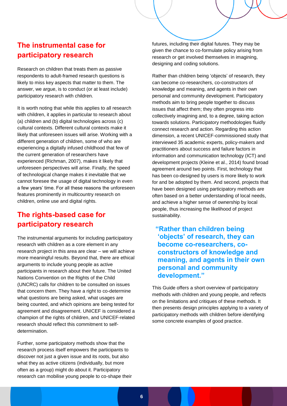#### <span id="page-5-0"></span>**The instrumental case for participatory research**

Research on children that treats them as passive respondents to adult-framed research questions is likely to miss key aspects that matter to them. The answer, we argue, is to conduct (or at least include) participatory research with children.

It is worth noting that while this applies to all research with children, it applies in particular to research about (a) children and (b) digital technologies across (c) cultural contexts. Different cultural contexts make it likely that unforeseen issues will arise. Working with a different generation of children, some of who are experiencing a digitally infused childhood that few of the current generation of researchers have experienced (Richman, 2007), makes it likely that unforeseen perspectives will arise. Finally, the speed of technological change makes it inevitable that we cannot foresee the usage of digital technology in even a few years' time. For all these reasons the unforeseen features prominently in multicountry research on children, online use and digital rights.

#### <span id="page-5-1"></span>**The rights-based case for participatory research**

The instrumental arguments for including participatory research with children as a core element in any research project in this area are clear – we will achieve more meaningful results. Beyond that, there are ethical arguments to include young people as active participants in research about their future. The United Nations Convention on the Rights of the Child (UNCRC) calls for children to be consulted on issues that concern them. They have a right to co-determine what questions are being asked, what usages are being counted, and which opinions are being tested for agreement and disagreement. UNICEF is considered a champion of the rights of children, and UNICEF-related research should reflect this commitment to selfdetermination.

Further, some participatory methods show that the research process itself empowers the participants to discover not just a given issue and its roots, but also what they as active citizens (individually, but more often as a group) might do about it. Participatory research can mobilise young people to co-shape their futures, including their digital futures. They may be given the chance to co-formulate policy arising from research or get involved themselves in imagining, designing and coding solutions.

Rather than children being 'objects' of research, they can become co-researchers, co-constructors of knowledge and meaning, and agents in their own personal and community development. Participatory methods aim to bring people together to discuss issues that affect them; they often progress into collectively imagining and, to a degree, taking action towards solutions. Participatory methodologies fluidly connect research and action. Regarding this action dimension, a recent UNICEF-commissioned study that interviewed 35 academic experts, policy-makers and practitioners about success and failure factors in information and communication technology (ICT) and development projects (Kleine et al., 2014) found broad agreement around two points. First, technology that has been co-designed by users is more likely to work for and be adopted by them. And second, projects that have been designed using participatory methods are often based on a better understanding of local needs, and achieve a higher sense of ownership by local people, thus increasing the likelihood of project sustainability.

**"Rather than children being 'objects' of research, they can become co-researchers, coconstructors of knowledge and meaning, and agents in their own personal and community development."**

This Guide offers a short overview of participatory methods with children and young people, and reflects on the limitations and critiques of these methods. It then presents design principles applying to a variety of participatory methods with children before identifying some concrete examples of good practice.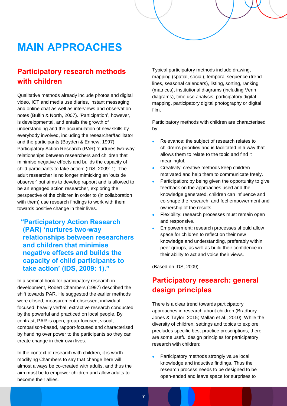## <span id="page-6-0"></span>**MAIN APPROACHES**

#### <span id="page-6-1"></span>**Participatory research methods with children**

Qualitative methods already include photos and digital video, ICT and media use diaries, instant messaging and online chat as well as interviews and observation notes (Bulfin & North, 2007). 'Participation', however, is developmental, and entails the growth of understanding and the accumulation of new skills by everybody involved, including the researcher/facilitator and the participants (Boyden & Ennew, 1997). Participatory Action Research (PAR) 'nurtures two-way relationships between researchers and children that minimise negative effects and builds the capacity of child participants to take action' (IDS, 2009: 1). The adult researcher is no longer mimicking an 'outside observer' but aims to develop rapport and is allowed to be an engaged action researcher, exploring the perspective of the children in order to (in collaboration with them) use research findings to work with them towards positive change in their lives.

**"Participatory Action Research (PAR) 'nurtures two-way relationships between researchers and children that minimise negative effects and builds the capacity of child participants to take action' (IDS, 2009: 1)."**

In a seminal book for participatory research in development, Robert Chambers (1997) described the shift towards PAR. He suggested the earlier methods were closed, measurement-obsessed, individualfocused, heavily verbal, extractive research conducted by the powerful and practiced on local people. By contrast, PAR is open, group-focused, visual, comparison-based, rapport-focused and characterised by handing over power to the participants so they can create change in their own lives.

In the context of research with children, it is worth modifying Chambers to say that change here will almost always be co-created with adults, and thus the aim must be to empower children and allow adults to become their allies.

Typical participatory methods include drawing, mapping (spatial, social), temporal sequence (trend lines, seasonal calendars), listing, sorting, ranking (matrices), institutional diagrams (including Venn diagrams), time use analysis, participatory digital mapping, participatory digital photography or digital film.

Participatory methods with children are characterised by:

- Relevance: the subject of research relates to children's priorities and is facilitated in a way that allows them to relate to the topic and find it meaningful.
- Creativity: creative methods keep children motivated and help them to communicate freely.
- Participation: by being given the opportunity to give feedback on the approaches used and the knowledge generated, children can influence and co-shape the research, and feel empowerment and ownership of the results.
- Flexibility: research processes must remain open and responsive.
- Empowerment: research processes should allow space for children to reflect on their new knowledge and understanding, preferably within peer groups, as well as build their confidence in their ability to act and voice their views.

(Based on IDS, 2009).

#### <span id="page-6-2"></span>**Participatory research: general design principles**

There is a clear trend towards participatory approaches in research about children (Bradbury-Jones & Taylor, 2015; Mallan et al., 2010). While the diversity of children, settings and topics to explore precludes specific best practice prescriptions, there are some useful design principles for participatory research with children:

 Participatory methods strongly value local knowledge and inductive findings. Thus the research process needs to be designed to be open-ended and leave space for surprises to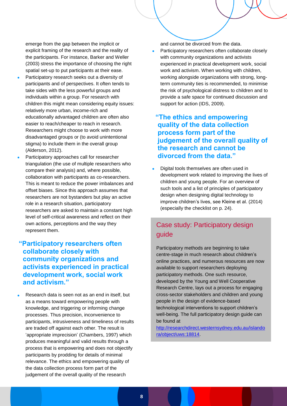emerge from the gap between the implicit or explicit framing of the research and the reality of the participants. For instance, Barker and Weller (2003) stress the importance of choosing the right spatial set-up to put participants at their ease.

- Participatory research seeks out a diversity of participants and of perspectives. It often tends to take sides with the less powerful groups and individuals within a group. For research with children this might mean considering equity issues: relatively more urban, income-rich and educationally advantaged children are often also easier to reach/cheaper to reach in research. Researchers might choose to work with more disadvantaged groups or (to avoid unintentional stigma) to include them in the overall group (Alderson, 2012).
- Participatory approaches call for researcher triangulation (the use of multiple researchers who compare their analysis) and, where possible, collaboration with participants as co-researchers. This is meant to reduce the power imbalances and offset biases. Since this approach assumes that researchers are not bystanders but play an active role in a research situation, participatory researchers are asked to maintain a constant high level of self-critical awareness and reflect on their own actions, perceptions and the way they represent them.
- **"Participatory researchers often collaborate closely with community organizations and activists experienced in practical development work, social work and activism."**
- Research data is seen not as an end in itself, but as a means toward empowering people with knowledge, and triggering or informing change processes. Thus precision, inconvenience to participants, intrusiveness and timeliness of results are traded off against each other. The result is 'appropriate imprecision' (Chambers, 1997) which produces meaningful and valid results through a process that is empowering and does not objectify participants by prodding for details of minimal relevance. The ethics and empowering quality of the data collection process form part of the judgement of the overall quality of the research

and cannot be divorced from the data.

- Participatory researchers often collaborate closely with community organizations and activists experienced in practical development work, social work and activism. When working with children, working alongside organizations with strong, longterm community ties is recommended, to minimise the risk of psychological distress to children and to provide a safe space for continued discussion and support for action (IDS, 2009).
- **"The ethics and empowering quality of the data collection process form part of the judgement of the overall quality of the research and cannot be divorced from the data."**
- Digital tools themselves are often used in development work related to improving the lives of children and young people. For an overview of such tools and a list of principles of participatory design when designing digital technology to improve children's lives, see Kleine et al. (2014) (especially the checklist on p. 24).

#### Case study: Participatory design guide

Participatory methods are beginning to take centre-stage in much research about children's online practices, and numerous resources are now available to support researchers deploying participatory methods. One such resource, developed by the Young and Well Cooperative Research Centre, lays out a process for engaging cross-sector stakeholders and children and young people in the design of evidence-based technological interventions to support children's well-being. The full participatory design guide can be found at

[http://researchdirect.westernsydney.edu.au/islando](http://researchdirect.westernsydney.edu.au/islandora/object/uws:18814) [ra/object/uws:18814.](http://researchdirect.westernsydney.edu.au/islandora/object/uws:18814)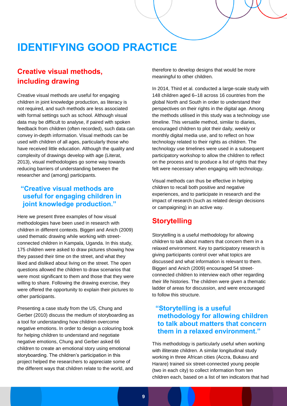## <span id="page-8-0"></span>**IDENTIFYING GOOD PRACTICE**

#### <span id="page-8-1"></span>**Creative visual methods, including drawing**

Creative visual methods are useful for engaging children in joint knowledge production, as literacy is not required, and such methods are less associated with formal settings such as school. Although visual data may be difficult to analyse, if paired with spoken feedback from children (often recorded), such data can convey in-depth information. Visual methods can be used with children of all ages, particularly those who have received little education. Although the quality and complexity of drawings develop with age (Literat, 2013), visual methodologies go some way towards reducing barriers of understanding between the researcher and (among) participants.

#### **"Creative visual methods are useful for engaging children in joint knowledge production."**

Here we present three examples of how visual methodologies have been used in research with children in different contexts. Biggeri and Anich (2009) used thematic drawing while working with streetconnected children in Kampala, Uganda. In this study, 175 children were asked to draw pictures showing how they passed their time on the street, and what they liked and disliked about living on the street. The open questions allowed the children to draw scenarios that were most significant to them and those that they were willing to share. Following the drawing exercise, they were offered the opportunity to explain their pictures to other participants.

Presenting a case study from the US, Chung and Gerber (2010) discuss the medium of storyboarding as a tool for understanding how children overcome negative emotions. In order to design a colouring book for helping children to understand and negotiate negative emotions, Chung and Gerber asked 66 children to create an emotional story using emotional storyboarding. The children's participation in this project helped the researchers to appreciate some of the different ways that children relate to the world, and

therefore to develop designs that would be more meaningful to other children.

In 2014, Third et al*.* conducted a large-scale study with 148 children aged 6–18 across 16 countries from the global North and South in order to understand their perspectives on their rights in the digital age. Among the methods utilised in this study was a technology use timeline. This versatile method, similar to diaries, encouraged children to plot their daily, weekly or monthly digital media use, and to reflect on how technology related to their rights as children. The technology use timelines were used in a subsequent participatory workshop to allow the children to reflect on the process and to produce a list of rights that they felt were necessary when engaging with technology.

Visual methods can thus be effective in helping children to recall both positive and negative experiences, and to participate in research and the impact of research (such as related design decisions or campaigning) in an active way.

#### <span id="page-8-2"></span>**Storytelling**

Storytelling is a useful methodology for allowing children to talk about matters that concern them in a relaxed environment. Key to participatory research is giving participants control over what topics are discussed and what information is relevant to them. Biggeri and Anich (2009) encouraged 54 streetconnected children to interview each other regarding their life histories. The children were given a thematic ladder of areas for discussion, and were encouraged to follow this structure.

#### **"Storytelling is a useful methodology for allowing children to talk about matters that concern them in a relaxed environment."**

This methodology is particularly useful when working with illiterate children. A similar longitudinal study working in three African cities (Accra, Bukavu and Harare) trained six street-connected young people (two in each city) to collect information from ten children each, based on a list of ten indicators that had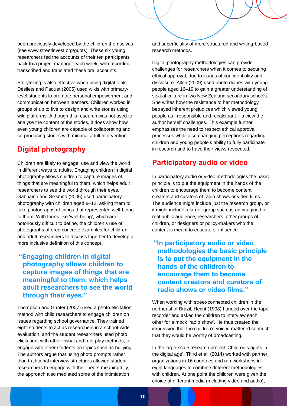been previously developed by the children themselves (see www.streetinvest.org/guots). These six young researchers fed the accounts of their ten participants back to a project manager each week, who recorded, transcribed and translated these oral accounts.

Storytelling is also effective when using digital tools. Désilets and Paquet (2005) used wikis with primarylevel students to promote personal empowerment and communication between learners. Children worked in groups of up to five to design and write stories using wiki platforms. Although this research was not used to analyse the content of the stories, it does show how even young children are capable of collaborating and co-producing stories with minimal adult intervention.

#### <span id="page-9-0"></span>**Digital photography**

Children are likely to engage, use and view the world in different ways to adults. Engaging children in digital photography allows children to capture images of things that are meaningful to them, which helps adult researchers to see the world through their eyes. Gabhainn and Sixsmith (2006) used participatory photography with children aged 8–12, asking them to take photographs of things that represented well-being to them. With terms like 'well-being', which are notoriously difficult to define, the children's use of photographs offered concrete examples for children and adult researchers to discuss together to develop a more inclusive definition of this concept.

#### **"Engaging children in digital photography allows children to capture images of things that are meaningful to them, which helps adult researchers to see the world through their eyes."**

Thompson and Gunter (2007) used a photo elicitation method with child researchers to engage children on issues regarding school governance. They trained eight students to act as researchers in a school-wide evaluation, and the student researchers used photo elicitation, with other visual and role-play methods, to engage with other students on topics such as bullying. The authors argue that using photo prompts rather than traditional interview structures allowed student researchers to engage with their peers meaningfully; the approach also mediated some of the intimidation

and superficiality of more structured and writing-based research methods.

Digital photography methodologies can provide challenges for researchers when it comes to securing ethical approval, due to issues of confidentiality and disclosure. Allen (2009) used photo diaries with young people aged 16–19 to gain a greater understanding of sexual culture in two New Zealand secondary schools. She writes how the resistance to her methodology betrayed inherent prejudices which viewed young people as irresponsible and recalcitrant – a view the author herself challenges. This example further emphasises the need to respect ethical approval processes while also changing perceptions regarding children and young people's ability to fully participate in research and to have their views respected.

#### <span id="page-9-1"></span>**Participatory audio or video**

In participatory audio or video methodologies the basic principle is to put the equipment in the hands of the children to encourage them to become content creators and curators of radio shows or video films. The audience might include just the research group, or it might include a larger group such as an imagined or real public audience, researchers, other groups of children, or designers or policy-makers who the content is meant to educate or influence.

#### **"In participatory audio or video methodologies the basic principle is to put the equipment in the hands of the children to encourage them to become content creators and curators of radio shows or video films."**

When working with street-connected children in the northeast of Brazil, Hecht (1998) handed over the tape recorder and asked the children to interview each other for a mock 'radio show'. He thus created the impression that the children's voices mattered so much that they would be worthy of broadcasting.

In the large-scale research project 'Children's rights in the digital age', Third et al. (2014) worked with partner organizations in 16 countries and ran workshops in eight languages to combine different methodologies with children. At one point the children were given the choice of different media (including video and audio),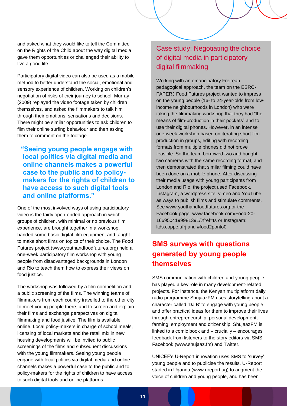and asked what they would like to tell the Committee on the Rights of the Child about the way digital media gave them opportunities or challenged their ability to live a good life.

Participatory digital video can also be used as a mobile method to better understand the social, emotional and sensory experience of children. Working on children's negotiation of risks of their journey to school, Murray (2009) replayed the video footage taken by children themselves, and asked the filmmakers to talk him through their emotions, sensations and decisions. There might be similar opportunities to ask children to film their online surfing behaviour and then asking them to comment on the footage.

**"Seeing young people engage with local politics via digital media and online channels makes a powerful case to the public and to policymakers for the rights of children to have access to such digital tools and online platforms."**

One of the most involved ways of using participatory video is the fairly open-ended approach in which groups of children, with minimal or no previous film experience, are brought together in a workshop, handed some basic digital film equipment and taught to make short films on topics of their choice. The Food Futures project (www.youthandfoodfutures.org) held a one-week participatory film workshop with young people from disadvantaged backgrounds in London and Rio to teach them how to express their views on food justice.

The workshop was followed by a film competition and a public screening of the films. The winning teams of filmmakers from each country travelled to the other city to meet young people there, and to screen and explain their films and exchange perspectives on digital filmmaking and food justice. The film is available online. Local policy-makers in charge of school meals, licensing of local markets and the retail mix in new housing developments will be invited to public screenings of the films and subsequent discussions with the young filmmakers. Seeing young people engage with local politics via digital media and online channels makes a powerful case to the public and to policy-makers for the rights of children to have access to such digital tools and online platforms.

#### Case study: Negotiating the choice of digital media in participatory digital filmmaking

Working with an emancipatory Freirean pedagogical approach, the team on the ESRC-FAPERJ Food Futures project wanted to impress on the young people (16- to 24-year-olds from lowincome neighbourhoods in London) who were taking the filmmaking workshop that they had "the means of film-production in their pockets" and to use their digital phones. However, in an intense one-week workshop based on iterating short film production in groups, editing with recording formats from multiple phones did not prove feasible. So the team borrowed two and bought two cameras with the same recording format, and then demonstrated that similar filming could have been done on a mobile phone. After discussing their media usage with young participants from London and Rio, the project used Facebook, Instagram, a wordpress site, vimeo and YouTube as ways to publish films and stimulate comments. See www.youthandfoodfutures.org or the Facebook page: www.facebook.com/Food-20- 1669504199981391/?fref=ts or Instagram: ltds.coppe.ufrj and #food2ponto0

#### <span id="page-10-0"></span>**SMS surveys with questions generated by young people themselves**

SMS communication with children and young people has played a key role in many development-related projects. For instance, the Kenyan multiplatform daily radio programme ShujaazFM uses storytelling about a character called 'DJ B' to engage with young people and offer practical ideas for them to improve their lives through entrepreneurship, personal development, farming, employment and citizenship. ShujaazFM is linked to a comic book and – crucially – encourages feedback from listeners to the story editors via SMS, Facebook (www.shujaaz.fm) and Twitter.

UNICEF's U-Report innovation uses SMS to 'survey' young people and to publicise the results. U-Report started in Uganda (www.ureport.ug) to augment the voice of children and young people, and has been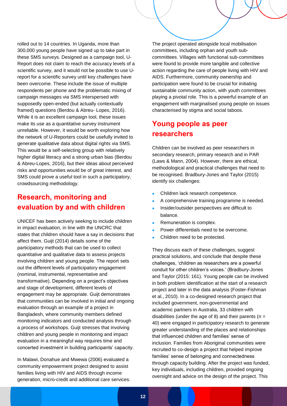rolled out to 14 countries. In Uganda, more than 300,000 young people have signed up to take part in these SMS surveys. Designed as a campaign tool, U-Report does not claim to reach the accuracy levels of a scientific survey, and it would not be possible to use Ureport for a scientific survey until key challenges have been overcome. These include the issue of multiple respondents per phone and the problematic mixing of campaign messages via SMS interspersed with supposedly open-ended (but actually contextually framed) questions (Berdou & Abreu- Lopes, 2016). While it is an excellent campaign tool, these issues make its use as a quantitative survey instrument unreliable. However, it would be worth exploring how the network of U-Reporters could be usefully invited to generate qualitative data about digital rights via SMS. This would be a self-selecting group with relatively higher digital literacy and a strong urban bias (Berdou & Abreu-Lopes, 2016), but their ideas about perceived risks and opportunities would be of great interest, and SMS could prove a useful tool in such a participatory, crowdsourcing methodology.

#### <span id="page-11-0"></span>**Research, monitoring and evaluation by and with children**

UNICEF has been actively seeking to include children in impact evaluation, in line with the UNCRC that states that children should have a say in decisions that affect them. Guijt (2014) details some of the participatory methods that can be used to collect quantitative and qualitative data to assess projects involving children and young people. The report sets out the different levels of participatory engagement (nominal, instrumental, representative and transformative). Depending on a project's objectives and stage of development, different levels of engagement may be appropriate. Guijt demonstrates that communities can be involved in initial and ongoing evaluation through an example of a project in Bangladesh, where community members defined monitoring indicators and conducted analysis through a process of workshops. Guijt stresses that involving children and young people in monitoring and impact evaluation in a meaningful way requires time and concerted investment in building participants' capacity.

In Malawi, Donahue and Mwewa (2006) evaluated a community empowerment project designed to assist families living with HIV and AIDS through income generation, micro-credit and additional care services. The project operated alongside local mobilisation committees, including orphan and youth subcommittees. Villages with functional sub-committees were found to provide more tangible and collective action regarding the care of people living with HIV and AIDS. Furthermore, community ownership and participation were found to be crucial for initiating sustainable community action, with youth committees playing a pivotal role. This is a powerful example of an engagement with marginalised young people on issues characterised by stigma and social taboos.

#### <span id="page-11-1"></span>**Young people as peer researchers**

Children can be involved as peer researchers in secondary research, primary research and in PAR (Laws & Mann, 2004). However, there are ethical, methodological and practical challenges that need to be recognised. Bradbury-Jones and Taylor (2015) identify six challenges:

- Children lack research competence.
- A comprehensive training programme is needed.
- Insider/outsider perspectives are difficult to balance.
- Remuneration is complex.
- Power differentials need to be overcome.
- Children need to be protected.

They discuss each of these challenges, suggest practical solutions, and conclude that despite these challenges, 'children as researchers are a powerful conduit for other children's voices.' (Bradbury-Jones and Taylor (2015: 161). Young people can be involved in both problem identification at the start of a research project and later in the data analysis (Foster-Fishman et al., 2010). In a co-designed research project that included government, non-governmental and academic partners in Australia, 33 children with disabilities (under the age of 8) and their parents ( $n =$ 40) were engaged in participatory research to generate greater understanding of the places and relationships that influenced children and families' sense of inclusion. Families from Aboriginal communities were recruited to co-design a project that helped improve families' sense of belonging and connectedness through capacity building. After the project was funded, key individuals, including children, provided ongoing oversight and advice on the design of the project. This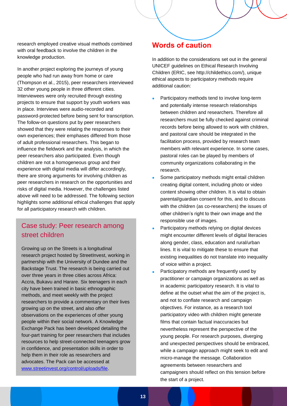research employed creative visual methods combined with oral feedback to involve the children in the knowledge production.

In another project exploring the journeys of young people who had run away from home or care (Thompson et al., 2015), peer researchers interviewed 32 other young people in three different cities. Interviewees were only recruited through existing projects to ensure that support by youth workers was in place. Interviews were audio-recorded and password-protected before being sent for transcription. The follow-on questions put by peer researchers showed that they were relating the responses to their own experiences; their emphases differed from those of adult professional researchers. This began to influence the fieldwork and the analysis, in which the peer researchers also participated. Even though children are not a homogeneous group and their experience with digital media will differ accordingly, there are strong arguments for involving children as peer researchers in research on the opportunities and risks of digital media. However, the challenges listed above will need to be addressed. The following section highlights some additional ethical challenges that apply for all participatory research with children.

#### Case study: Peer research among street children

Growing up on the Streets is a longitudinal research project hosted by StreetInvest, working in partnership with the University of Dundee and the Backstage Trust. The research is being carried out over three years in three cities across Africa: Accra, Bukavu and Harare. Six teenagers in each city have been trained in basic ethnographic methods, and meet weekly with the project researchers to provide a commentary on their lives growing up on the street, and also offer observations on the experiences of other young people within their social network. A Knowledge Exchange Pack has been developed detailing the four-part training for peer researchers that includes resources to help street-connected teenagers grow in confidence, and presentation skills in order to help them in their role as researchers and advocates. The Pack can be accessed at [www.streetinvest.org/control/uploads/file.](http://www.streetinvest.org/control/uploads/file)

#### <span id="page-12-0"></span>**Words of caution**

In addition to the considerations set out in the general UNICEF guidelines on Ethical Research Involving Children (ERIC, see http://childethics.com/), unique ethical aspects to participatory methods require additional caution:

- Participatory methods tend to involve long-term and potentially intense research relationships between children and researchers. Therefore all researchers must be fully checked against criminal records before being allowed to work with children, and pastoral care should be integrated in the facilitation process, provided by research team members with relevant experience. In some cases, pastoral roles can be played by members of community organizations collaborating in the research.
- Some participatory methods might entail children creating digital content, including photo or video content showing other children. It is vital to obtain parental/guardian consent for this, and to discuss with the children (as co-researchers) the issues of other children's right to their own image and the responsible use of images.
- Participatory methods relying on digital devices might encounter different levels of digital literacies along gender, class, education and rural/urban lines. It is vital to mitigate these to ensure that existing inequalities do not translate into inequality of voice within a project.
- Participatory methods are frequently used by practitioner or campaign organizations as well as in academic participatory research. It is vital to define at the outset what the aim of the project is, and not to conflate research and campaign objectives. For instance, as a research tool participatory video with children might generate films that contain factual inaccuracies but nevertheless represent the perspective of the young people. For research purposes, diverging and unexpected perspectives should be embraced, while a campaign approach might seek to edit and micro-manage the message. Collaboration agreements between researchers and campaigners should reflect on this tension before the start of a project.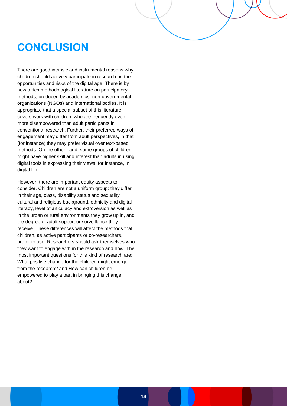## <span id="page-13-0"></span>**CONCLUSION**

There are good intrinsic and instrumental reasons why children should actively participate in research on the opportunities and risks of the digital age. There is by now a rich methodological literature on participatory methods, produced by academics, non-governmental organizations (NGOs) and international bodies. It is appropriate that a special subset of this literature covers work with children, who are frequently even more disempowered than adult participants in conventional research. Further, their preferred ways of engagement may differ from adult perspectives, in that (for instance) they may prefer visual over text-based methods. On the other hand, some groups of children might have higher skill and interest than adults in using digital tools in expressing their views, for instance, in digital film.

However, there are important equity aspects to consider. Children are not a uniform group: they differ in their age, class, disability status and sexuality, cultural and religious background, ethnicity and digital literacy, level of articulacy and extroversion as well as in the urban or rural environments they grow up in, and the degree of adult support or surveillance they receive. These differences will affect the methods that children, as active participants or co-researchers, prefer to use. Researchers should ask themselves who they want to engage with in the research and how. The most important questions for this kind of research are: What positive change for the children might emerge from the research? and How can children be empowered to play a part in bringing this change about?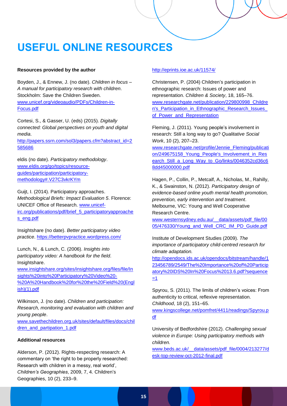## <span id="page-14-0"></span>**USEFUL ONLINE RESOURCES**

#### **Resources provided by the author**

Boyden, J., & Ennew, J. (no date). *Children in focus – A manual for participatory research with children*. Stockholm: Save the Children Sweden. [www.unicef.org/videoaudio/PDFs/Children-in-](http://www.unicef.org/videoaudio/PDFs/Children-in-Focus.pdf)[Focus.pdf](http://www.unicef.org/videoaudio/PDFs/Children-in-Focus.pdf)

Cortesi, S., & Gasser, U. (eds) (2015). *Digitally connected: Global perspectives on youth and digital media*.

[http://papers.ssrn.com/sol3/papers.cfm?abstract\\_id=2](http://papers.ssrn.com/sol3/papers.cfm?abstract_id=2585686) [585686](http://papers.ssrn.com/sol3/papers.cfm?abstract_id=2585686)

eldis (no date). *Participatory methodology*. [www.eldis.org/go/topics/resource](http://www.eldis.org/go/topics/resource-guides/participation/participatory-methodology#.V27C3vkrKYm)[guides/participation/participatory](http://www.eldis.org/go/topics/resource-guides/participation/participatory-methodology#.V27C3vkrKYm)[methodology#.V27C3vkrKYm](http://www.eldis.org/go/topics/resource-guides/participation/participatory-methodology#.V27C3vkrKYm)

Guijt, I. (2014). Participatory approaches. *Methodological Briefs: Impact Evaluation 5*. Florence: UNICEF Office of Research. [www.unicef](http://www.unicef-irc.org/publications/pdf/brief_5_participatoryapproaches_eng.pdf)[irc.org/publications/pdf/brief\\_5\\_participatoryapproache](http://www.unicef-irc.org/publications/pdf/brief_5_participatoryapproaches_eng.pdf) [s\\_eng.pdf](http://www.unicef-irc.org/publications/pdf/brief_5_participatoryapproaches_eng.pdf)

Insightshare (no date). *Better participatory video practice*.<https://betterpvpractice.wordpress.com/>

Lunch, N., & Lunch, C. (2006). *Insights into participatory video: A handbook for the field*. Insightshare.

[www.insightshare.org/sites/insightshare.org/files/file/In](http://www.insightshare.org/sites/insightshare.org/files/file/Insights%20into%20Participatory%20Video%20-%20A%20Handbook%20for%20the%20Field%20(English)(1).pdf) [sights%20into%20Participatory%20Video%20-](http://www.insightshare.org/sites/insightshare.org/files/file/Insights%20into%20Participatory%20Video%20-%20A%20Handbook%20for%20the%20Field%20(English)(1).pdf) [%20A%20Handbook%20for%20the%20Field%20\(Engl](http://www.insightshare.org/sites/insightshare.org/files/file/Insights%20into%20Participatory%20Video%20-%20A%20Handbook%20for%20the%20Field%20(English)(1).pdf) [ish\)\(1\).pdf](http://www.insightshare.org/sites/insightshare.org/files/file/Insights%20into%20Participatory%20Video%20-%20A%20Handbook%20for%20the%20Field%20(English)(1).pdf)

Wilkinson, J. (no date). *Children and participation: Research, monitoring and evaluation with children and young people*.

[www.savethechildren.org.uk/sites/default/files/docs/chil](http://www.savethechildren.org.uk/sites/default/files/docs/children_and_partipation_1.pdf) [dren\\_and\\_partipation\\_1.pdf](http://www.savethechildren.org.uk/sites/default/files/docs/children_and_partipation_1.pdf)

#### **Additional resources**

Alderson, P. (2012). Rights-respecting research: A commentary on 'the right to be properly researched: Research with children in a messy, real world', *Children's Geographies*, 2009, 7, 4. Children's Geographies, 10 (2), 233–9.

#### <http://eprints.ioe.ac.uk/11574/>

Christensen, P. (2004) Children's participation in ethnographic research: Issues of power and representation. *Children & Society*, 18, 165–76. [www.researchgate.net/publication/229800998\\_Childre](http://www.researchgate.net/publication/229800998_Children) [n's\\_Participation\\_in\\_Ethnographic\\_Research\\_Issues\\_](http://www.researchgate.net/publication/229800998_Children) of Power and Representation

Fleming, J. (2011). Young people's involvement in research: Still a long way to go? *Qualitative Social Work*, 10 (2), 207–23.

[www.researchgate.net/profile/Jennie\\_Fleming/publicati](http://www.researchgate.net/profile/Jennie_Fleming/publication/249675158_Young_People) on/249675158 Young People's Involvement in Res [earch\\_Still\\_a\\_Long\\_Way\\_to\\_Go/links/0046352cd36c6](http://www.researchgate.net/profile/Jennie_Fleming/publication/249675158_Young_People) [8dd45000000.pdf](http://www.researchgate.net/profile/Jennie_Fleming/publication/249675158_Young_People)

Hagen, P., Collin, P., Metcalf, A., Nicholas, M., Rahilly, K., & Swainston, N. (2012). *Participatory design of evidence-based online youth mental health promotion, prevention, early intervention and treatment*. Melbourne, VIC: Young and Well Cooperative Research Centre.

[www.westernsydney.edu.au/\\_\\_data/assets/pdf\\_file/00](http://www.westernsydney.edu.au/__data/assets/pdf_file/0005/476330/Young_and_Well_CRC_IM_PD_Guide.pdf) [05/476330/Young\\_and\\_Well\\_CRC\\_IM\\_PD\\_Guide.pdf](http://www.westernsydney.edu.au/__data/assets/pdf_file/0005/476330/Young_and_Well_CRC_IM_PD_Guide.pdf)

Institute of Development Studies (2009). *The importance of participatory child-centred research for climate adaptation.*

[http://opendocs.ids.ac.uk/opendocs/bitstream/handle/1](http://opendocs.ids.ac.uk/opendocs/bitstream/handle/123456789/2549/The%20Importance%20of%20Participatory%20IDS%20In%20Focus%2013.6.pdf?sequence=1) [23456789/2549/The%20Importance%20of%20Particip](http://opendocs.ids.ac.uk/opendocs/bitstream/handle/123456789/2549/The%20Importance%20of%20Participatory%20IDS%20In%20Focus%2013.6.pdf?sequence=1) [atory%20IDS%20In%20Focus%2013.6.pdf?sequence](http://opendocs.ids.ac.uk/opendocs/bitstream/handle/123456789/2549/The%20Importance%20of%20Participatory%20IDS%20In%20Focus%2013.6.pdf?sequence=1)  $=1$ 

Spyrou, S. (2011). The limits of children's voices: From authenticity to critical, reflexive representation. *Childhood*, 18 (2), 151–65.

[www.kingscollege.net/pomfret/4411/readings/Spyrou.p](http://www.kingscollege.net/pomfret/4411/readings/Spyrou.pdf) [df](http://www.kingscollege.net/pomfret/4411/readings/Spyrou.pdf)

University of Bedfordshire (2012). *Challenging sexual violence in Europe: Using participatory methods with children.*

[www.beds.ac.uk/\\_\\_data/assets/pdf\\_file/0004/213277/d](http://www.beds.ac.uk/__data/assets/pdf_file/0004/213277/desk-top-review-oct-2012-final.pdf) [esk-top-review-oct-2012-final.pdf](http://www.beds.ac.uk/__data/assets/pdf_file/0004/213277/desk-top-review-oct-2012-final.pdf)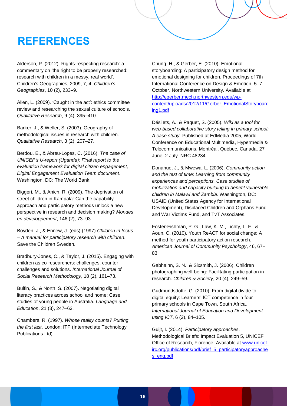## <span id="page-15-0"></span>**REFERENCES**

Alderson, P. (2012). Rights-respecting research: a commentary on 'the right to be properly researched: research with children in a messy, real world'. Children's Geographies, 2009, 7, 4. *Children's Geographies*, 10 (2), 233–9.

Allen, L. (2009). 'Caught in the act': ethics committee review and researching the sexual culture of schools. *Qualitative Research*, 9 (4), 395–410.

Barker, J., & Weller, S. (2003). Geography of methodological issues in research with children. *Qualitative Research*, 3 (2), 207–27.

Berdou. E., & Abreu-Lopes, C. (2016). *The case of UNICEF's U-report (Uganda): Final report to the evaluation framework for digital citizen engagement, Digital Engagement Evaluation Team document*. Washington, DC: The World Bank.

Biggeri, M., & Anich, R. (2009). The deprivation of street children in Kampala: Can the capability approach and participatory methods unlock a new perspective in research and decision making? *Mondes en développement*, 146 (2), 73–93.

Boyden, J., & Ennew, J. (eds) (1997) *Children in focus – A manual for participatory research with children*. Save the Children Sweden.

Bradbury-Jones, C., & Taylor, J. (2015). Engaging with children as co-researchers: challenges, counterchallenges and solutions. *International Journal of Social Research Methodology*, 18 (2), 161–73.

Bulfin, S., & North, S. (2007). Negotiating digital literacy practices across school and home: Case studies of young people in Australia. *Language and Education*, 21 (3), 247–63.

Chambers, R. (1997). *Whose reality counts? Putting the first last*. London: ITP (Intermediate Technology Publications Ltd).

Chung, H., & Gerber, E. (2010). Emotional storyboarding: A participatory design method for emotional designing for children. Proceedings of 7th International Conference on Design & Emotion, 5–7 October. Northwestern University. Available at [http://egerber.mech.northwestern.edu/wp](http://egerber.mech.northwestern.edu/wp-content/uploads/2012/11/Gerber_EmotionalStoryboarding1.pdf)[content/uploads/2012/11/Gerber\\_EmotionalStoryboard](http://egerber.mech.northwestern.edu/wp-content/uploads/2012/11/Gerber_EmotionalStoryboarding1.pdf) [ing1.pdf](http://egerber.mech.northwestern.edu/wp-content/uploads/2012/11/Gerber_EmotionalStoryboarding1.pdf)

Désilets, A., & Paquet, S. (2005). *Wiki as a tool for web-based collaborative story telling in primary school: A case study*. Published at EdMedia 2005, World Conference on Educational Multimedia, Hypermedia & Telecommunications. Montréal, Québec, Canada. 27 June–2 July. NRC 48234.

Donahue, J., & Mwewa, L. (2006). *Community action and the test of time: Learning from community experiences and perceptions. Case studies of mobilization and capacity building to benefit vulnerable children in Malawi and Zambia*. Washington, DC: USAID (United States Agency for International Development), Displaced Children and Orphans Fund and War Victims Fund, and TvT Associates.

Foster-Fishman, P. G., Law, K. M., Lichty, L. F., & Aoun, C. (2010). Youth ReACT for social change: A method for youth participatory action research. *American Journal of Community Psychology*, 46, 67– 83.

Gabhainn, S. N., & Sixsmith, J. (2006). Children photographing well-being: Facilitating participation in research. *Children & Society*, 20 (4), 249–59.

Gudmundsdottir, G. (2010). From digital divide to digital equity: Learners' ICT competence in four primary schools in Cape Town, South Africa. *International Journal of Education and Development using ICT*, 6 (2), 84–105.

Guijt, I. (2014). *Participatory approaches*. Methodological Briefs: Impact Evaluation 5, UNICEF Office of Research, Florence*.* Available at [www.unicef](http://www.unicef-irc.org/publications/pdf/brief_5_participatoryapproaches_eng.pdf)[irc.org/publications/pdf/brief\\_5\\_participatoryapproache](http://www.unicef-irc.org/publications/pdf/brief_5_participatoryapproaches_eng.pdf) [s\\_eng.pdf](http://www.unicef-irc.org/publications/pdf/brief_5_participatoryapproaches_eng.pdf)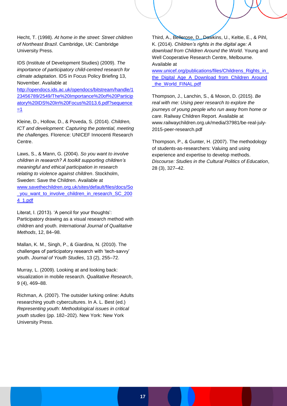Hecht, T. (1998). *At home in the street: Street children of Northeast Brazil*. Cambridge, UK: Cambridge University Press.

IDS (Institute of Development Studies) (2009). *The importance of participatory child-centred research for climate adaptation*. IDS in Focus Policy Briefing 13, November. Available at

[http://opendocs.ids.ac.uk/opendocs/bitstream/handle/1](http://opendocs.ids.ac.uk/opendocs/bitstream/handle/123456789/2549/The%20Importance%20of%20Participatory%20IDS%20In%20Focus%2013.6.pdf?sequence=1) [23456789/2549/The%20Importance%20of%20Particip](http://opendocs.ids.ac.uk/opendocs/bitstream/handle/123456789/2549/The%20Importance%20of%20Participatory%20IDS%20In%20Focus%2013.6.pdf?sequence=1) [atory%20IDS%20In%20Focus%2013.6.pdf?sequence](http://opendocs.ids.ac.uk/opendocs/bitstream/handle/123456789/2549/The%20Importance%20of%20Participatory%20IDS%20In%20Focus%2013.6.pdf?sequence=1) [=1](http://opendocs.ids.ac.uk/opendocs/bitstream/handle/123456789/2549/The%20Importance%20of%20Participatory%20IDS%20In%20Focus%2013.6.pdf?sequence=1)

Kleine, D., Hollow, D., & Poveda, S. (2014). *Children, ICT and development: Capturing the potential, meeting the challenges.* Florence: UNICEF Innocenti Research Centre.

Laws, S., & Mann, G. (2004). *So you want to involve children in research? A toolkit supporting children's meaningful and ethical participation in research relating to violence against children*. Stockholm, Sweden: Save the Children. Available at [www.savethechildren.org.uk/sites/default/files/docs/So](http://www.savethechildren.org.uk/sites/default/files/docs/So_you_want_to_involve_children_in_research_SC_2004_1.pdf) vou want to involve children in research SC 200 [4\\_1.pdf](http://www.savethechildren.org.uk/sites/default/files/docs/So_you_want_to_involve_children_in_research_SC_2004_1.pdf)

Literat, I. (2013). 'A pencil for your thoughts': Participatory drawing as a visual research method with children and youth. *International Journal of Qualitative Methods*, 12, 84–98.

Mallan, K. M., Singh, P., & Giardina, N. (2010). The challenges of participatory research with 'tech-savvy' youth. *Journal of Youth Studies*, 13 (2), 255–72.

Murray, L. (2009). Looking at and looking back: visualization in mobile research. *Qualitative Research*, 9 (4), 469–88.

Richman, A. (2007). The outsider lurking online: Adults researching youth cybercultures. In A. L. Best (ed.) *Representing youth: Methodological issues in critical youth studies* (pp. 182–202). New York: New York University Press.

Third, A., Bellerose, D., Dawkins, U., Keltie, E., & Pihl, K. (2014). *Children's rights in the digital age: A download from Children Around the World*. Young and Well Cooperative Research Centre, Melbourne. Available at

www.unicef.org/publications/files/Childrens\_Rights\_in the Digital Age A Download from Children Around [\\_the\\_World\\_FINAL.pdf](http://www.unicef.org/publications/files/Childrens_Rights_in_the_Digital_Age_A_Download_from_Children_Around_the_World_FINAL.pdf)

Thompson, J., Lanchin, S., & Moxon, D. (2015). *Be real with me: Using peer research to explore the journeys of young people who run away from home or care*. Railway Children Report. Available at www.railwaychildren.org.uk/media/37981/be-real-july-2015-peer-research.pdf

Thompson, P., & Gunter, H. (2007). The methodology of students-as-researchers: Valuing and using experience and expertise to develop methods. *Discourse: Studies in the Cultural Politics of Education*, 28 (3), 327–42.